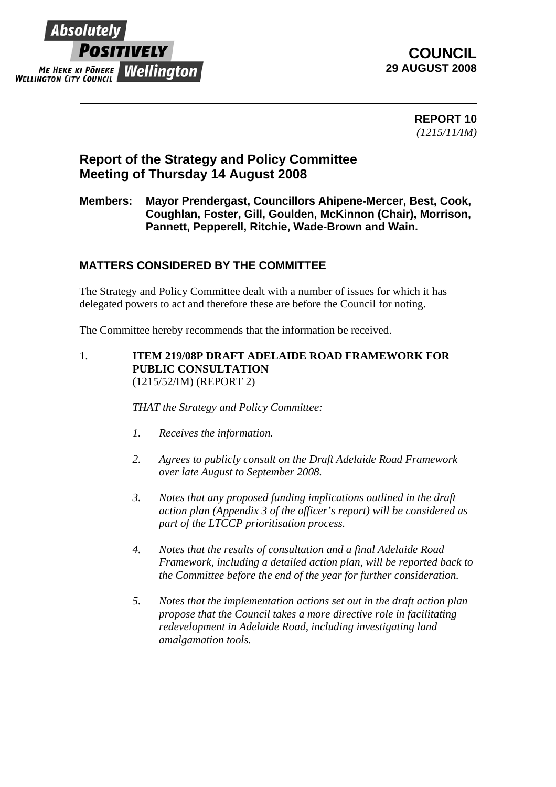

### **COUNCIL 29 AUGUST 2008**

**REPORT 10**  *(1215/11/IM)*

## **Report of the Strategy and Policy Committee Meeting of Thursday 14 August 2008**

#### **Members: Mayor Prendergast, Councillors Ahipene-Mercer, Best, Cook, Coughlan, Foster, Gill, Goulden, McKinnon (Chair), Morrison, Pannett, Pepperell, Ritchie, Wade-Brown and Wain.**

#### **MATTERS CONSIDERED BY THE COMMITTEE**

The Strategy and Policy Committee dealt with a number of issues for which it has delegated powers to act and therefore these are before the Council for noting.

The Committee hereby recommends that the information be received.

1. **ITEM 219/08P DRAFT ADELAIDE ROAD FRAMEWORK FOR PUBLIC CONSULTATION** (1215/52/IM) (REPORT 2)

*THAT the Strategy and Policy Committee:* 

- *1. Receives the information.*
- *2. Agrees to publicly consult on the Draft Adelaide Road Framework over late August to September 2008.*
- *3. Notes that any proposed funding implications outlined in the draft action plan (Appendix 3 of the officer's report) will be considered as part of the LTCCP prioritisation process.*
- *4. Notes that the results of consultation and a final Adelaide Road Framework, including a detailed action plan, will be reported back to the Committee before the end of the year for further consideration.*
- *5. Notes that the implementation actions set out in the draft action plan propose that the Council takes a more directive role in facilitating redevelopment in Adelaide Road, including investigating land amalgamation tools.*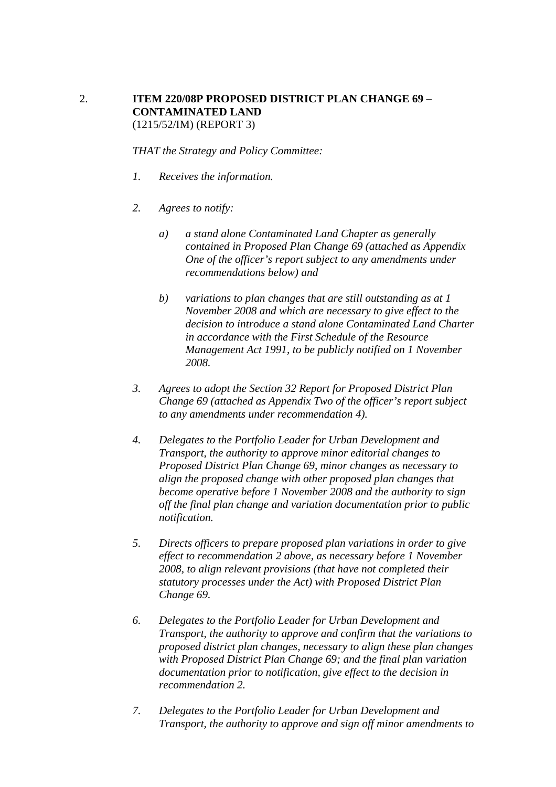#### 2. **ITEM 220/08P PROPOSED DISTRICT PLAN CHANGE 69 – CONTAMINATED LAND** (1215/52/IM) (REPORT 3)

*THAT the Strategy and Policy Committee:* 

- *1. Receives the information.*
- *2. Agrees to notify:* 
	- *a) a stand alone Contaminated Land Chapter as generally contained in Proposed Plan Change 69 (attached as Appendix One of the officer's report subject to any amendments under recommendations below) and*
	- *b) variations to plan changes that are still outstanding as at 1 November 2008 and which are necessary to give effect to the decision to introduce a stand alone Contaminated Land Charter in accordance with the First Schedule of the Resource Management Act 1991, to be publicly notified on 1 November 2008.*
- *3. Agrees to adopt the Section 32 Report for Proposed District Plan Change 69 (attached as Appendix Two of the officer's report subject to any amendments under recommendation 4).*
- *4. Delegates to the Portfolio Leader for Urban Development and Transport, the authority to approve minor editorial changes to Proposed District Plan Change 69, minor changes as necessary to align the proposed change with other proposed plan changes that become operative before 1 November 2008 and the authority to sign off the final plan change and variation documentation prior to public notification.*
- *5. Directs officers to prepare proposed plan variations in order to give effect to recommendation 2 above, as necessary before 1 November 2008, to align relevant provisions (that have not completed their statutory processes under the Act) with Proposed District Plan Change 69.*
- *6. Delegates to the Portfolio Leader for Urban Development and Transport, the authority to approve and confirm that the variations to proposed district plan changes, necessary to align these plan changes with Proposed District Plan Change 69; and the final plan variation documentation prior to notification, give effect to the decision in recommendation 2.*
- *7. Delegates to the Portfolio Leader for Urban Development and Transport, the authority to approve and sign off minor amendments to*